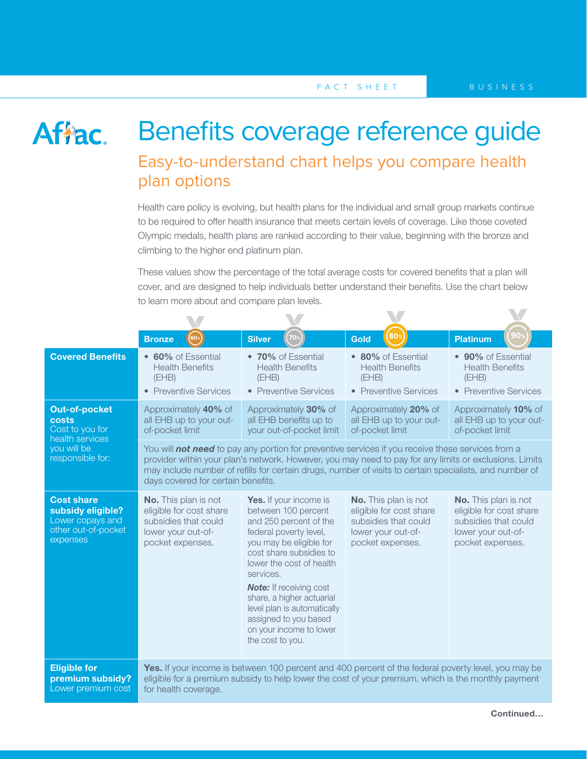V

## Affac.

## Benefits coverage reference guide Easy-to-understand chart helps you compare health plan options

Health care policy is evolving, but health plans for the individual and small group markets continue to be required to offer health insurance that meets certain levels of coverage. Like those coveted Olympic medals, health plans are ranked according to their value, beginning with the bronze and climbing to the higher end platinum plan.

These values show the percentage of the total average costs for covered benefits that a plan will cover, and are designed to help individuals better understand their benefits. Use the chart below to learn more about and compare plan levels.

 $\blacktriangledown$ 

|                                                                                                        | (60%<br><b>Bronze</b>                                                                                                                                                                                                                                                                                                                                               | <b>Silver</b><br>70%                                                                                                                                                                                                                                                                                                                                                   | Gold                                                                                                                     | <b>Platinum</b>                                                                                                          |  |
|--------------------------------------------------------------------------------------------------------|---------------------------------------------------------------------------------------------------------------------------------------------------------------------------------------------------------------------------------------------------------------------------------------------------------------------------------------------------------------------|------------------------------------------------------------------------------------------------------------------------------------------------------------------------------------------------------------------------------------------------------------------------------------------------------------------------------------------------------------------------|--------------------------------------------------------------------------------------------------------------------------|--------------------------------------------------------------------------------------------------------------------------|--|
| <b>Covered Benefits</b>                                                                                | • 60% of Essential<br><b>Health Benefits</b><br>(EHB)<br>• Preventive Services                                                                                                                                                                                                                                                                                      | • 70% of Essential<br><b>Health Benefits</b><br>(EHB)<br>• Preventive Services                                                                                                                                                                                                                                                                                         | • 80% of Essential<br><b>Health Benefits</b><br>(EHB)<br>• Preventive Services                                           | • 90% of Essential<br><b>Health Benefits</b><br>(EHB)<br>• Preventive Services                                           |  |
| <b>Out-of-pocket</b><br>costs<br>Cost to you for<br>health services<br>you will be<br>responsible for: | Approximately 40% of<br>all EHB up to your out-<br>of-pocket limit                                                                                                                                                                                                                                                                                                  | Approximately 30% of<br>all EHB benefits up to<br>your out-of-pocket limit                                                                                                                                                                                                                                                                                             | Approximately 20% of<br>all EHB up to your out-<br>of-pocket limit                                                       | Approximately 10% of<br>all EHB up to your out-<br>of-pocket limit                                                       |  |
|                                                                                                        | You will <b>not need</b> to pay any portion for preventive services if you receive these services from a<br>provider within your plan's network. However, you may need to pay for any limits or exclusions. Limits<br>may include number of refills for certain drugs, number of visits to certain specialists, and number of<br>days covered for certain benefits. |                                                                                                                                                                                                                                                                                                                                                                        |                                                                                                                          |                                                                                                                          |  |
| <b>Cost share</b><br>subsidy eligible?<br>Lower copays and<br>other out-of-pocket<br>expenses          | <b>No.</b> This plan is not<br>eligible for cost share<br>subsidies that could<br>lower your out-of-<br>pocket expenses.                                                                                                                                                                                                                                            | Yes. If your income is<br>between 100 percent<br>and 250 percent of the<br>federal poverty level,<br>you may be eligible for<br>cost share subsidies to<br>lower the cost of health<br>services.<br><b>Note:</b> If receiving cost<br>share, a higher actuarial<br>level plan is automatically<br>assigned to you based<br>on your income to lower<br>the cost to you. | <b>No.</b> This plan is not<br>eligible for cost share<br>subsidies that could<br>lower your out-of-<br>pocket expenses. | <b>No.</b> This plan is not<br>eligible for cost share<br>subsidies that could<br>lower your out-of-<br>pocket expenses. |  |
| <b>Eligible for</b><br>premium subsidy?<br>Lower premium cost                                          | Yes. If your income is between 100 percent and 400 percent of the federal poverty level, you may be<br>eligible for a premium subsidy to help lower the cost of your premium, which is the monthly payment<br>for health coverage.                                                                                                                                  |                                                                                                                                                                                                                                                                                                                                                                        |                                                                                                                          |                                                                                                                          |  |

 $\blacksquare$ 

 $\blacksquare$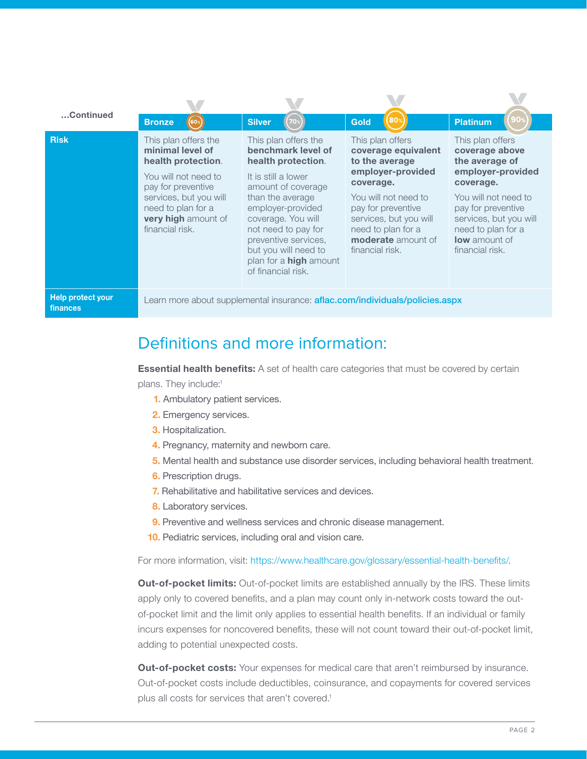| Continued                            |                                                                                                                                                                                                        |                                                                                                                                                                                                                                                                                                            |                                                                                                                                                                                                                                           |                                                                                                                                                                                                                          |  |  |
|--------------------------------------|--------------------------------------------------------------------------------------------------------------------------------------------------------------------------------------------------------|------------------------------------------------------------------------------------------------------------------------------------------------------------------------------------------------------------------------------------------------------------------------------------------------------------|-------------------------------------------------------------------------------------------------------------------------------------------------------------------------------------------------------------------------------------------|--------------------------------------------------------------------------------------------------------------------------------------------------------------------------------------------------------------------------|--|--|
|                                      | <b>Bronze</b><br>60%                                                                                                                                                                                   | <b>Silver</b>                                                                                                                                                                                                                                                                                              | 80 <sup>9</sup><br>Gold                                                                                                                                                                                                                   | <b>Platinum</b>                                                                                                                                                                                                          |  |  |
| <b>Risk</b>                          | This plan offers the<br>minimal level of<br>health protection.<br>You will not need to<br>pay for preventive<br>services, but you will<br>need to plan for a<br>very high amount of<br>financial risk. | This plan offers the<br>benchmark level of<br>health protection.<br>It is still a lower<br>amount of coverage<br>than the average<br>employer-provided<br>coverage. You will<br>not need to pay for<br>preventive services,<br>but you will need to<br>plan for a <b>high</b> amount<br>of financial risk. | This plan offers<br>coverage equivalent<br>to the average<br>employer-provided<br>coverage.<br>You will not need to<br>pay for preventive<br>services, but you will<br>need to plan for a<br><b>moderate</b> amount of<br>financial risk. | This plan offers<br>coverage above<br>the average of<br>employer-provided<br>coverage.<br>You will not need to<br>pay for preventive<br>services, but you will<br>need to plan for a<br>low amount of<br>financial risk. |  |  |
| <b>Help protect your</b><br>finances | Learn more about supplemental insurance: <b>aflac.com/individuals/policies.aspx</b>                                                                                                                    |                                                                                                                                                                                                                                                                                                            |                                                                                                                                                                                                                                           |                                                                                                                                                                                                                          |  |  |

## Definitions and more information:

**Essential health benefits:** A set of health care categories that must be covered by certain plans. They include:<sup>1</sup>

- **1.** Ambulatory patient services.
- **2.** Emergency services.
- **3.** Hospitalization.
- **4.** Pregnancy, maternity and newborn care.
- **5.** Mental health and substance use disorder services, including behavioral health treatment.
- **6.** Prescription drugs.
- **7.** Rehabilitative and habilitative services and devices.
- **8.** Laboratory services.
- **9.** Preventive and wellness services and chronic disease management.
- **10.** Pediatric services, including oral and vision care.

For more information, visit:<https://www.healthcare.gov/glossary/essential-health-benefits/>.

**Out-of-pocket limits:** Out-of-pocket limits are established annually by the IRS. These limits apply only to covered benefits, and a plan may count only in-network costs toward the outof-pocket limit and the limit only applies to essential health benefits. If an individual or family incurs expenses for noncovered benefits, these will not count toward their out-of-pocket limit, adding to potential unexpected costs.

**Out-of-pocket costs:** Your expenses for medical care that aren't reimbursed by insurance. Out-of-pocket costs include deductibles, coinsurance, and copayments for covered services plus all costs for services that aren't covered.<sup>1</sup>

 $\blacksquare$